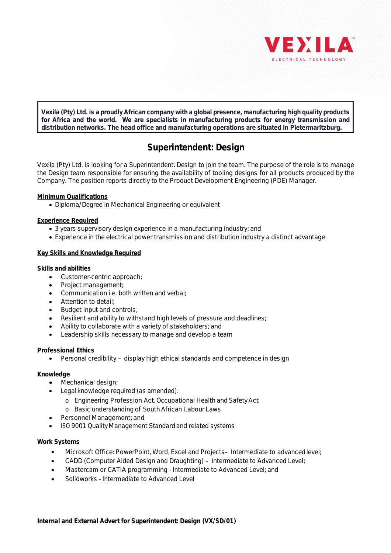

**Vexila (Pty) Ltd. is a proudly African company with a global presence, manufacturing high quality products for Africa and the world. We are specialists in manufacturing products for energy transmission and distribution networks. The head office and manufacturing operations are situated in Pietermaritzburg.**

# **Superintendent: Design**

Vexila (Pty) Ltd. is looking for a Superintendent: Design to join the team. The purpose of the role is to manage the Design team responsible for ensuring the availability of tooling designs for all products produced by the Company. The position reports directly to the Product Development Engineering (PDE) Manager.

**Minimum Qualifications**

· Diploma/Degree in Mechanical Engineering or equivalent

**Experience Required**

- · 3 years supervisory design experience in a manufacturing industry; and
- · Experience in the electrical power transmission and distribution industry a distinct advantage.

## **Key Skills and Knowledge Required**

**Skills and abilities**

- · Customer-centric approach;
- Project management;
- · Communication i.e. both written and verbal;
- Attention to detail:
- · Budget input and controls;
- Resilient and ability to withstand high levels of pressure and deadlines;
- Ability to collaborate with a variety of stakeholders; and
- · Leadership skills necessary to manage and develop a team

**Professional Ethics**

· Personal credibility – display high ethical standards and competence in design

## **Knowledge**

- · Mechanical design;
- · Legal knowledge required (as amended):
	- o Engineering Profession Act, Occupational Health and Safety Act
	- o Basic understanding of South African Labour Laws
- · Personnel Management; and
- · ISO 9001 QualityManagement Standard and related systems

## **Work Systems**

- · Microsoft Office: PowerPoint, Word, Excel and Projects– Intermediate to advanced level;
- · CADD (Computer Aided Design and Draughting) Intermediate to Advanced Level;
- · Mastercam or CATIA programming Intermediate to Advanced Level; and
- · Solidworks Intermediate to Advanced Level